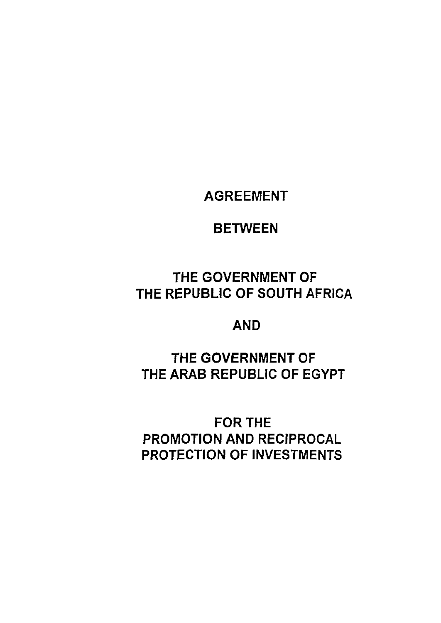## FOR THE PROMOTION AND RECIPROCAL PROTECTION OF INVESTMENTS

## THE GOVERNMENT OF THE ARAB REPUBLIC OF EGYPT

## AND

## THE GOVERNMENT OF THE REPUBLIC OF SOUTH AFRICA

# **BETWEEN**

AGREEMENT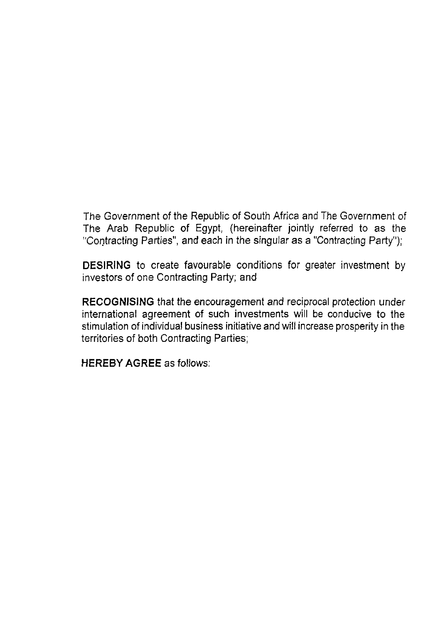The Government of the Republic of South Africa and The Government of The Arab Republic of Egypt, (hereinafter jointly referred to as the "Contracting Parties", and each in the singular as a "Contracting Party");

**DESIRING** to create favourable conditions for greater investment by investors of one Contracting Party; and

**RECOGNISING** that the encouragement and reciprocal protection under international agreement of such investments will be conducive to the stimulation of individual business initiative and will increase prosperity in the territories of both Contracting Parties;

**HEREBY AGREE** as follows: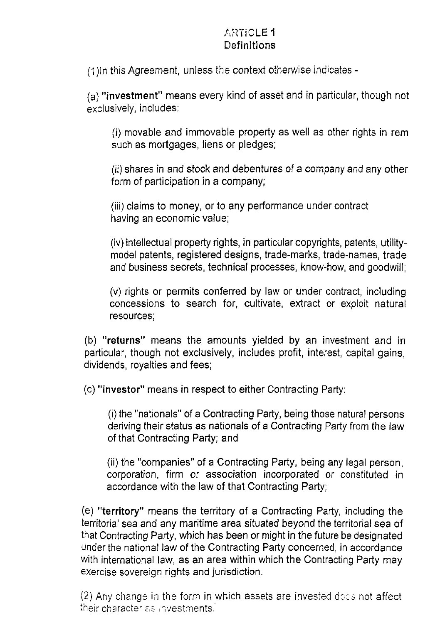### **ARTICLE 1** Definitions

 $(1)$ In this Agreement, unless the context otherwise indicates -

(a) "investment" means every kind of asset and in particular, though not exclusively, includes:

{i) movable and immovable property as well as other rights in rem such as mortgages, liens or pledges;

(ii) shares in and stock and debentures of a company *and* any other form of participation in a company;

(iii) claims to money, or to any performance under contract having an economic value;

(iv) intellectual property rights, in particular copyrights, patents, utilitymodel patents, registered designs, trade-marks, trade-names, trade and business secrets, technical processes, know-how, and goodwill;

(v) rights or permits conferred by law or under contract, including concessions to search for, cultivate, extract or exploit natural resources;

(b) "returns" means the amounts yielded by an investment and in particular, though not exclusively, includes profit, interest, capital gains, dividends, royalties and fees;

(c) "investor" means in respect to either Contracting Party:

(i) the "nationals" of a Contracting Party, being those natural persons *deriving* their status as nationals of a Contracting Party from the law of that Contracting Party; and

(ii) the "companies" of a Contracting Party, being any legal person, corporation, firm or association incorporated or constituted in accordance with the law of that Contracting Party;

(e) "territory" means the territory of a Contracting Party, including the territorial sea and any maritime area situated beyond the territorial sea of that Contracting Party, which has been or might in the future be designated under the national law of the Contracting Party concerned, in accordance with international law, as an area within which the Contracting Party may exercise sovereign rights and jurisdiction.

 $(2)$  Any change in the form in which assets are invested does not affect their character as investments.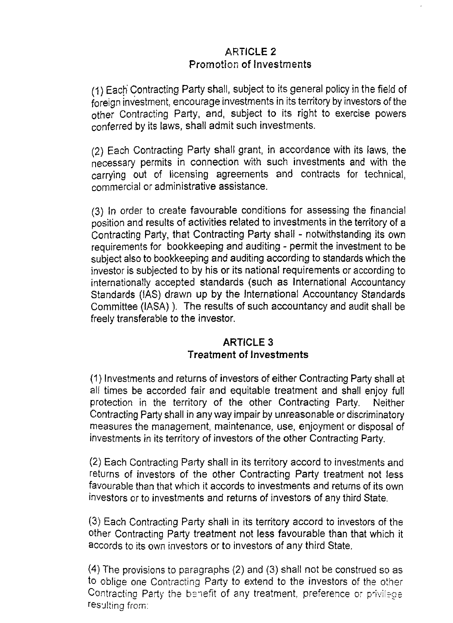### ARTICLE *2*  Promotion of Investments

(1) Each Contracting Party shall, subject to its general policy in the field of foreign investment, encourage investments in its territory by investors of the other Contracting Party, and, subject to its right to exercise powers conferred by its laws, shall admit such investments.

(2) Each Contracting Party shall grant, in accordance with its laws. the necessary permits in connection with such investments and with the carrying out of licensing agreements and contracts for technical, commercial or administrative assistance.

(3) In order to create favourable conditions for assessing the financial position and results of activities related to investments in the territory of a Contracting Party, that Contracting Party shall - notwithstanding its own requirements for bookkeeping and auditing - permit the investment to be subject also to bookkeeping and auditing according to standards which the investor is subjected to by his or its national requirements or according to internationally accepted standards (such as International Accountancy Standards (!AS) drawn up by the International Accountancy Standards Committee (IASA) ). The results of such accountancy and audit shall be freely transferable to the investor.

#### ARTICLE 3 Treatment of Investments

(1) Investments and returns of investors of either Contracting Party shall at all times be accorded fair and equitable treatment and shall enjoy full protection in the territory of the other Contracting Party. Neither Contracting Party shall in any way impair by unreasonable or discriminatory measures the management, maintenance, use, enjoyment or disposal of investments in its territory of investors of the other Contracting Party.

(2) Each Contracting Party shall in its territory accord to investments and returns of investors of the other Contracting Party treatment not less favourable than that which it accords to investments and returns of its own investors or to investments and returns of investors of any third State.

(3) Each Contracting Party shall in its territory accord to investors of the other Contracting Party treatment not less favourable than that which it accords to its own investors or to investors of any third State.

(4) The provisions to paragraphs (2) and (3) shall not be construed so as to oblige one Contracting Party to extend to the investors of the other Contracting Party the benefit of any treatment, preference or privilege resulting from: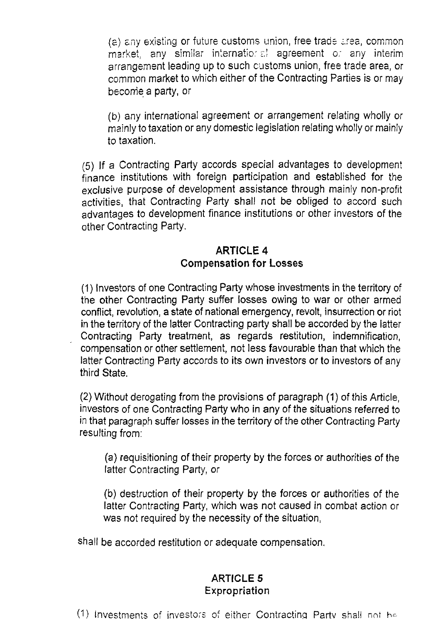$(e)$  any existing or future customs union, free trade area, common market, any similar internatior of agreement or any interim arrangement leading up to such customs union, free trade area, or common market to which either of the Contracting Parties is or may become a party, or

(b) any international agreement or arrangement relating wholly or mainly to taxation or any domestic legislation relating wholly or mainly to taxation.

(5) ff a Contracting Party accords special advantages to development finance institutions with foreign participation and established for the exclusive purpose of development assistance through mainly non-profit activities, that Contracting Party shall not be obliged to accord such advantages to development finance institutions or other investors of the other Contracting Party.

#### ARTICLE 4 Compensation for Losses

(1) Investors of one Contracting Party whose investments in the territory of the other Contracting Party suffer losses owing to war or other armed conflict, revolution, a state of national emergency, revolt, insurrection or riot in the territory of the latter Contracting party shall be accorded by the latter Contracting Party treatment, as regards restitution, indemnification, compensation or other settlement, not less favourable than that which the latter Contracting Party accords to its own investors or to investors of any third State.

(2) Without derogating from the provisions of paragraph (1) of this Article, investors of one Contracting Party who in any of the situations referred to in that paragraph suffer losses in the territory of the other Contracting Party resulting from:

(a) requisitioning of their property by the forces or authorities of the latter Contracting Party, or

(b) destruction of their property by the forces or authorities of the latter Contracting Party, which was not caused in combat action or was not required by the necessity of the situation,

shall be accorded restitution or adequate compensation.

### ARTICLE 5 Expropriation

(1) Investments of investors of either Contracting Party shall not he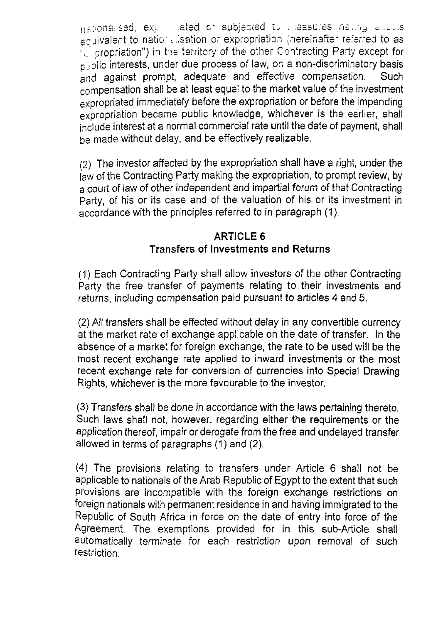nationalised, ex<sub>x</sub>. ... lated or subjected to ... aasures naming encods ecuivalent to nation. . .sation or expropriation . hereinafter referred to as  $\epsilon_{\rm b}$  oropriation") in the territory of the other Contracting Party except for public interests, under due process of law, on a non-discriminatory basis and against prompt, adequate and effective compensation. Such compensation shall be at least equal to the market value of the investment expropriated immediately before the expropriation or before the impending expropriation became public knowledge, whichever is the earlier, shall include interest at a normal commercial rate until the date of payment, shall be made without delay, and be effectively realizable.

(2) The investor affected by the expropriation shall have a right, under the law of the Contracting Party making the expropriation, to prompt review, by a court of law of other independent and impartial forum of that Contracting Party, of his or its case and of the valuation of his or its investment in accordance with the principles referred to in paragraph (1).

### **ARTICLE 6** Transfers of Investments and Returns

(1) Each Contracting Party shall allow investors of the other Contracting Party the free transfer of payments relating to their investments and returns, including compensation paid pursuant to articles 4 and 5.

(2) All transfers shall be effected without delay in any convertible currency at the market rate of exchange applicable on the date of transfer. In the absence of a market for foreign exchange, the rate to be used will be the most recent exchange rate applied to inward investments or the most recent exchange rate for conversion of currencies into Special Drawing Rights, whichever is the more favourable to the investor.

(3) Transfers shall be done *in* accordance with the laws pertaining thereto. Such laws shall not, however, regarding either the requirements or the application thereof, impair or derogate from the free and undelayed transfer allowed in terms of paragraphs (1) and (2).

(4) The provisions relating to transfers under Article 6 shall not be applicable to nationals of the Arab Republic of Egypt to the extent that such provisions are incompatible with the foreign exchange restrictions on foreign nationals with permanent residence in and having immigrated to the Republic of South Africa in force on the date of entry into force of the Agreement. The exemptions provided for in this sub-Article shall automatically terminate for each restriction *upon* removal of such restriction.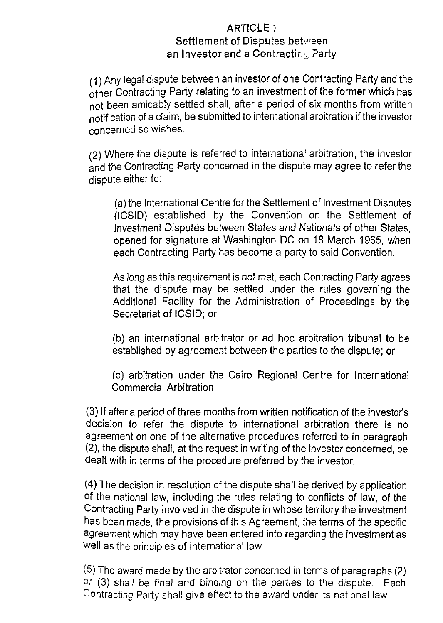#### ARTICLE *i'*  Settlement of Disputes between an Investor and a Contracting Party

(1) Any legal dispute between an investor of one Contracting Party and the other Contracting Party relating to an investment of the former which has not been amicably settled shall, after a period of six months from written notification of a claim, be submitted to international arbitration if the investor concerned so wishes.

(2) Where the dispute is referred to international arbitration, the investor and the Contracting Party concerned in the dispute may agree to refer the dispute either to:

(a) the International Centre for the Settlement of Investment Disputes (ICSID) established by the Convention on the Settlement of Investment Disputes between States and Nationals of other States, opened for signature at Washington DC on 18 March 1965, when each Contracting Party has become a party to said Convention.

As long as this requirement is not met, each Contracting Party agrees that the dispute may be settled under the rules governing the Additional Facility for the Administration of Proceedings by the Secretariat of ICSID; or

(b) an international arbitrator or ad hoc arbitration tribunal to be established by agreement between the parties to the dispute; or

(c) arbitration under the Cairo Regional Centre for International Commercial Arbitration.

(3) If after a period of three months from written notification of the investor's decision to refer the dispute to international arbitration there is no agreement on one of the alternative procedures referred to in paragraph (2), the dispute shall, at the request in writing of the investor concerned, be dealt with in terms of the procedure preferred by the investor.

( 4) The decision in resolution of the dispute shall be derived by application of the national law, including the rules relating to conflicts of law, of the Contracting Party involved in the dispute in whose territory the investment has been made, the provisions of this Agreement, the terms of the specific agreement which may have been entered into regarding the investment as well as the principles of international law.

(5) The award made by the arbitrator concerned in terms of paragraphs (2) or (3) shall be final and *binding* on the parties to the dispute. Each Contracting Party shall give effect to the award under its national law.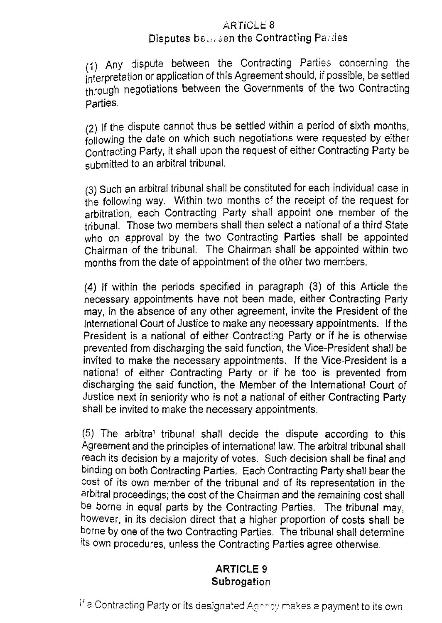#### ARTICLE: *8*

### Disputes be... sen the Contracting Parties

(1) Any dispute between the Contracting Parties concerning the interpretation or application of this Agreement should, 1f possible, be settled through negotiations between the Governments of the two Contracting Parties.

(2) If the dispute cannot thus be settled within a period of sixth months, following the date on which such negotiations were requested by either contracting Party, it shall upon the request of either Contracting Party be submitted to an arbitral tribunal.

(3) Such an arbitral tribunal shall be constituted for each individual case in the following way. Within two months of the receipt of the request for arbitration, each Contracting Party shall appoint one member of the tribunal. Those two members shall then select a national of a third State who on approval by the two Contracting Parties shall be appointed Chairman of the tribunal. The Chairman shall be appointed within two months from the date of appointment of the other two members.

(4) If within the periods specified in paragraph (3) of this Article the necessary appointments have not been made, either Contracting Party may, in the absence of any other agreement, invite the President of the International Court of Justice to make any necessary appointments. If the President is a national of either Contracting Party or if he is otherwise prevented from discharging the said function, the Vice-President shall be invited to make the necessary appointments. If the Vice-President is a national of either Contracting Party or if he too is prevented from discharging the said function, the Member of the International Court of Justice next in seniority who is not a national of either Contracting Party shall be invited to make the necessary appointments.

(5) The arbitral tribunal shall decide the dispute according to this Agreement and the principles of international law. The arbitral tribunal shall reach its decision by a majority of votes. Such decision shall be final and binding on both Contracting Parties. Each Contracting Party shall bear the cost of its own member of the tribunal and of its representation in the arbitral proceedings; the cost of the Chairman and the remaining cost shall be borne in equal parts by the Contracting Parties. The tribunal may, however, in its decision direct that a higher proportion of costs shall be borne by one of the two Contracting Parties. The tribunal shall determine its own procedures, unless the Contracting Parties agree otherwise.

### ARTICLE 9 **Subrogation**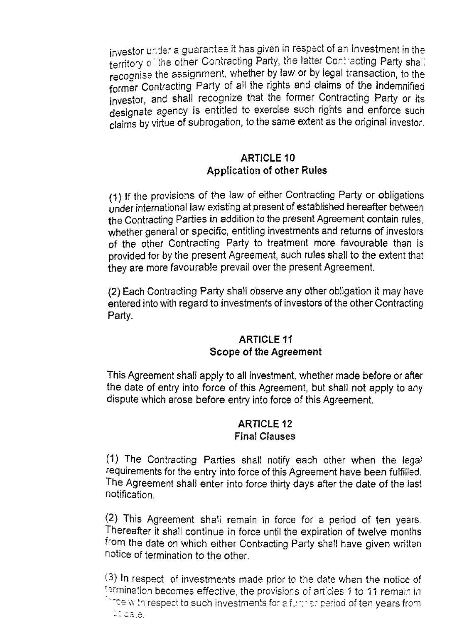investor under a guarantee it has given in respect of an investment in the territory of the other Contracting Party, the latter Contracting Party shall recognise the assignment, whether by law or by legal transaction, to the former Contracting Party of all the rights and claims of the indemnified investor, and shall recognize that the former Contracting Party or its designate agency is entitled to exercise such rights and enforce such claims by virtue of subrogation, to the same extent as the original investor.

#### ARTICLE 10 Application of other Rules

(1) If the provisions of the law of either Contracting Party or obligations under international law existing at present of established hereafter between the Contracting Parties in addition to the present Agreement contain rules, whether general or specific, entitling investments and returns of investors of the other Contracting Party to treatment more favourable than is provided for by the present Agreement, such rules shall to the extent that they are more favourable prevail over the present Agreement.

(2) Each Contracting Party shall observe any other obligation it may have entered into with regard to investments of investors of the other Contracting Party.

#### ARTICLE 11 Scope of the Agreement

This Agreement shall apply to all investment, whether made before or after the date of entry into force of this Agreement, but shall not apply to any dispute which arose before entry into force of this Agreement.

#### ARTICLE 12 Final Clauses

(1) The Contracting Parties shall notify each other when the legal requirements for the entry into force of this Agreement have been fulfilled. The Agreement shall enter into force thirty days after the date of the last notification.

(2) This Agreement shall remain in force for a period of ten years. Thereafter it shall continue in force until the expiration of twelve months from the date on which either Contracting Party shall have given written notice of termination to the other.

(3) In respect of investments made prior to the date when the notice of termination becomes effective, the provisions of articles 1 to 11 remain in rice with respect to such investments for a further period of ten years from .<br>Thi date,